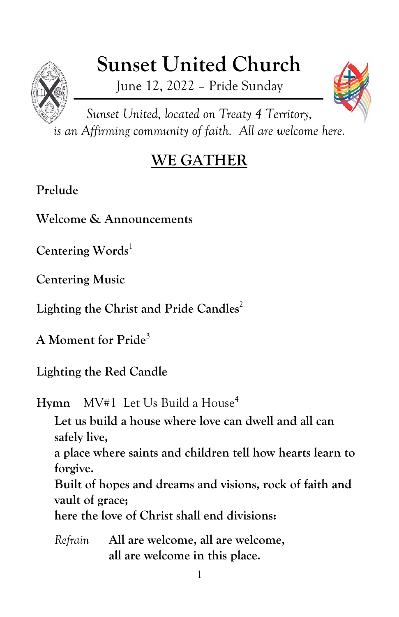# **Sunset United Church**

June 12, 2022 – Pride Sunday



*Sunset United, located on Treaty 4 Territory, is an Affirming community of faith. All are welcome here.*

# **WE GATHER**

# **Prelude**

**Welcome & Announcements**

Centering Words<sup>1</sup>

**Centering Music**

**Lighting the Christ and Pride Candles** 2

**A Moment for Pride**<sup>3</sup>

**Lighting the Red Candle**

**Hymn** MV#1 Let Us Build a House<sup>4</sup>

**Let us build a house where love can dwell and all can safely live,**

**a place where saints and children tell how hearts learn to forgive.**

**Built of hopes and dreams and visions, rock of faith and vault of grace;**

**here the love of Christ shall end divisions:**

*Refrain* **All are welcome, all are welcome, all are welcome in this place.**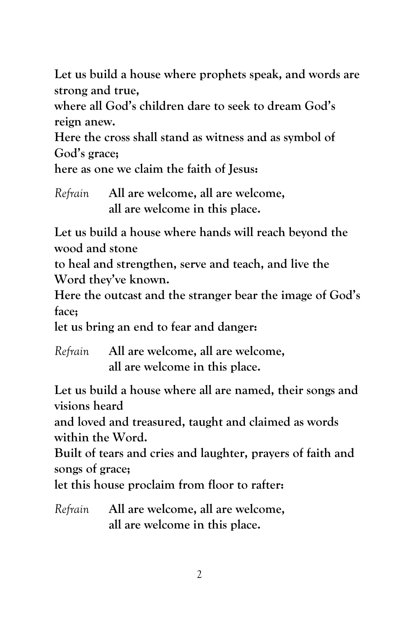**Let us build a house where prophets speak, and words are strong and true,**

**where all God's children dare to seek to dream God's reign anew.**

**Here the cross shall stand as witness and as symbol of God's grace;**

**here as one we claim the faith of Jesus:**

|  | Refrain All are welcome, all are welcome, |
|--|-------------------------------------------|
|  | all are welcome in this place.            |

**Let us build a house where hands will reach beyond the wood and stone**

**to heal and strengthen, serve and teach, and live the Word they've known.**

**Here the outcast and the stranger bear the image of God's face;**

**let us bring an end to fear and danger:**

*Refrain* **All are welcome, all are welcome, all are welcome in this place.**

**Let us build a house where all are named, their songs and visions heard**

**and loved and treasured, taught and claimed as words within the Word.**

**Built of tears and cries and laughter, prayers of faith and songs of grace;**

**let this house proclaim from floor to rafter:**

*Refrain* **All are welcome, all are welcome, all are welcome in this place.**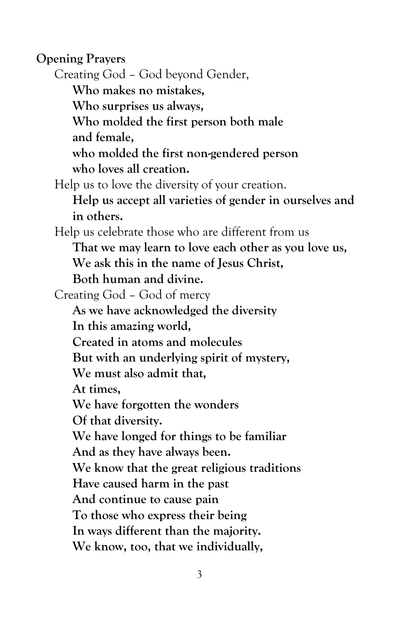**Opening Prayers** Creating God – God beyond Gender, **Who makes no mistakes, Who surprises us always, Who molded the first person both male and female, who molded the first non-gendered person who loves all creation.** Help us to love the diversity of your creation. **Help us accept all varieties of gender in ourselves and in others.** Help us celebrate those who are different from us **That we may learn to love each other as you love us, We ask this in the name of Jesus Christ, Both human and divine.** Creating God – God of mercy **As we have acknowledged the diversity In this amazing world, Created in atoms and molecules But with an underlying spirit of mystery, We must also admit that, At times, We have forgotten the wonders Of that diversity. We have longed for things to be familiar And as they have always been. We know that the great religious traditions Have caused harm in the past And continue to cause pain To those who express their being In ways different than the majority. We know, too, that we individually,**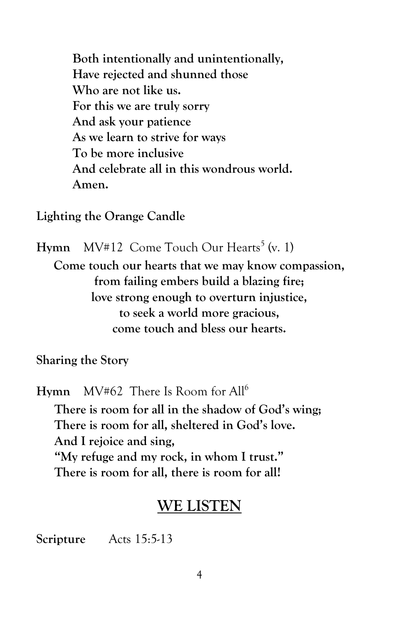**Both intentionally and unintentionally, Have rejected and shunned those Who are not like us. For this we are truly sorry And ask your patience As we learn to strive for ways To be more inclusive And celebrate all in this wondrous world. Amen.**

**Lighting the Orange Candle**

Hymn MV#12 Come Touch Our Hearts<sup>5</sup> (v. 1) **Come touch our hearts that we may know compassion, from failing embers build a blazing fire; love strong enough to overturn injustice, to seek a world more gracious, come touch and bless our hearts.**

**Sharing the Story**

**Hymn** MV#62 There Is Room for All<sup>6</sup> **There is room for all in the shadow of God's wing; There is room for all, sheltered in God's love. And I rejoice and sing, "My refuge and my rock, in whom I trust." There is room for all, there is room for all!**

## **WE LISTEN**

**Scripture** Acts 15:5-13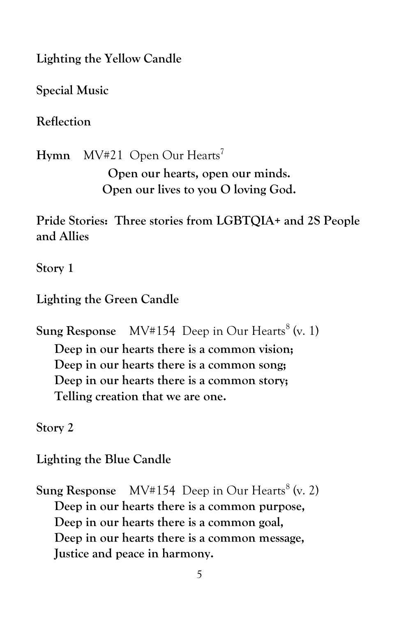**Lighting the Yellow Candle**

**Special Music**

**Reflection**

Hymn MV#21 Open Our Hearts<sup>7</sup>

**Open our hearts, open our minds. Open our lives to you O loving God.**

**Pride Stories: Three stories from LGBTQIA+ and 2S People and Allies**

**Story 1**

**Lighting the Green Candle**

**Sung Response** MV#154 Deep in Our Hearts<sup>8</sup> (v. 1) **Deep in our hearts there is a common vision; Deep in our hearts there is a common song; Deep in our hearts there is a common story; Telling creation that we are one.**

**Story 2**

**Lighting the Blue Candle**

**Sung Response** MV#154 Deep in Our Hearts<sup>8</sup> (v. 2) **Deep in our hearts there is a common purpose, Deep in our hearts there is a common goal, Deep in our hearts there is a common message, Justice and peace in harmony.**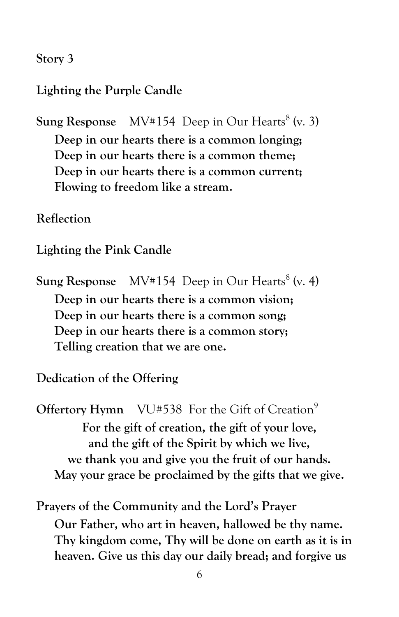#### **Story 3**

#### **Lighting the Purple Candle**

**Sung Response** MV#154 Deep in Our Hearts<sup>8</sup> (v. 3)

**Deep in our hearts there is a common longing; Deep in our hearts there is a common theme; Deep in our hearts there is a common current; Flowing to freedom like a stream.**

#### **Reflection**

#### **Lighting the Pink Candle**

**Sung Response** MV#154 Deep in Our Hearts<sup>8</sup> (v. 4) **Deep in our hearts there is a common vision; Deep in our hearts there is a common song; Deep in our hearts there is a common story; Telling creation that we are one.**

**Dedication of the Offering**

**Offertory Hymn** VU#538 For the Gift of Creation<sup>9</sup> **For the gift of creation, the gift of your love, and the gift of the Spirit by which we live, we thank you and give you the fruit of our hands. May your grace be proclaimed by the gifts that we give.**

**Prayers of the Community and the Lord's Prayer Our Father, who art in heaven, hallowed be thy name. Thy kingdom come, Thy will be done on earth as it is in heaven. Give us this day our daily bread; and forgive us**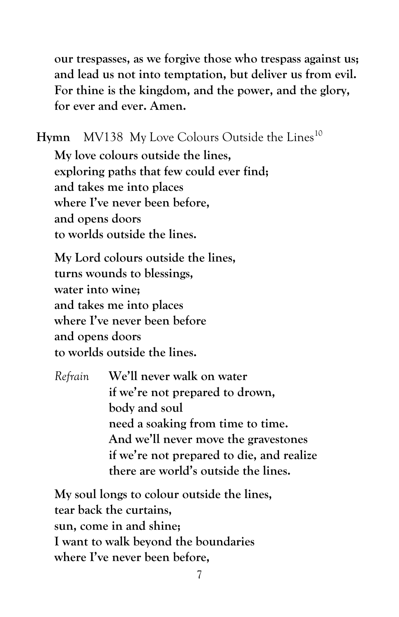**our trespasses, as we forgive those who trespass against us; and lead us not into temptation, but deliver us from evil. For thine is the kingdom, and the power, and the glory, for ever and ever. Amen.**

Hymn MV138 My Love Colours Outside the Lines<sup>10</sup>

**My love colours outside the lines, exploring paths that few could ever find; and takes me into places where I've never been before, and opens doors to worlds outside the lines.**

**My Lord colours outside the lines, turns wounds to blessings, water into wine; and takes me into places where I've never been before and opens doors to worlds outside the lines.**

*Refrain* **We'll never walk on water if we're not prepared to drown, body and soul need a soaking from time to time. And we'll never move the gravestones if we're not prepared to die, and realize there are world's outside the lines.**

**My soul longs to colour outside the lines, tear back the curtains, sun, come in and shine; I want to walk beyond the boundaries where I've never been before,**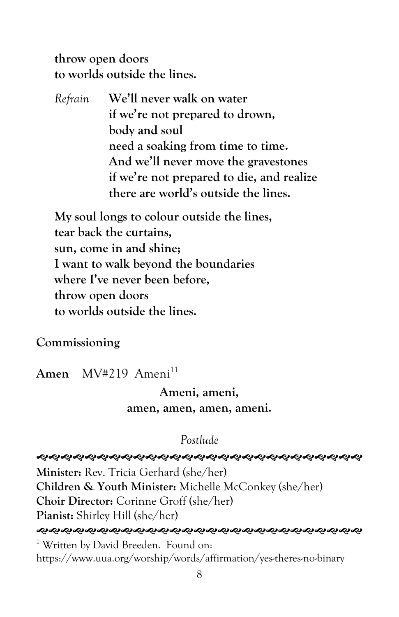**throw open doors to worlds outside the lines.**

*Refrain* **We'll never walk on water if we're not prepared to drown, body and soul need a soaking from time to time. And we'll never move the gravestones if we're not prepared to die, and realize there are world's outside the lines.**

**My soul longs to colour outside the lines, tear back the curtains, sun, come in and shine; I want to walk beyond the boundaries where I've never been before, throw open doors to worlds outside the lines.**

**Commissioning**

Amen MV#219 Ameni<sup>11</sup>

# **Ameni, ameni, amen, amen, amen, ameni.**

### *Postlude*

*֍֍֍֍֍֍֍֍֍֍֍֍֍֍֍֍֍֍֍֍֍֍֍֍֍֍֍֍֍֍֍* 

**Minister:** Rev. Tricia Gerhard (she/her) **Children & Youth Minister:** Michelle McConkey (she/her) **Choir Director:** Corinne Groff (she/her) **Pianist:** Shirley Hill (she/her) *ଵ୶ଵ୶ଵଵଵଵଵଵ*୰ଌ୶ଌ୶ଌ୶ଌ୶ଌ୶ଵ୶ଌ୶ଵ୶ଌ୶ଵ୶ଵ୶ଌ୶ଌ <sup>1</sup> Written by David Breeden. Found on: https://www.uua.org/worship/words/affirmation/yes-theres-no-binary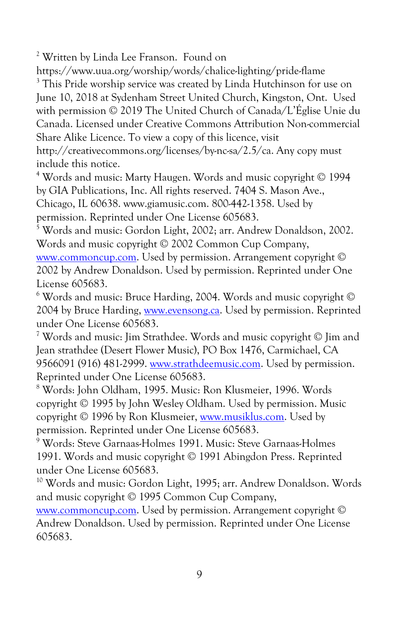<sup>2</sup> Written by Linda Lee Franson. Found on

https://www.uua.org/worship/words/chalice-lighting/pride-flame <sup>3</sup> This Pride worship service was created by Linda Hutchinson for use on June 10, 2018 at Sydenham Street United Church, Kingston, Ont. Used with permission © 2019 The United Church of Canada/L'Église Unie du Canada. Licensed under Creative Commons Attribution Non-commercial Share Alike Licence. To view a copy of this licence, visit http://creativecommons.org/licenses/by-nc-sa/2.5/ca. Any copy must

include this notice.

<sup>4</sup> Words and music: Marty Haugen. Words and music copyright © 1994 by GIA Publications, Inc. All rights reserved. 7404 S. Mason Ave., Chicago, IL 60638. www.giamusic.com. 800-442-1358. Used by permission. Reprinted under One License 605683.

<sup>5</sup> Words and music: Gordon Light, 2002; arr. Andrew Donaldson, 2002. Words and music copyright © 2002 Common Cup Company, [www.commoncup.com.](http://www.commoncup.com/) Used by permission. Arrangement copyright ©

2002 by Andrew Donaldson. Used by permission. Reprinted under One License 605683.

 $6$  Words and music: Bruce Harding, 2004. Words and music copyright  $\odot$ 2004 by Bruce Harding, [www.evensong.ca.](http://www.evensong.ca/) Used by permission. Reprinted under One License 605683.

<sup>7</sup> Words and music: Jim Strathdee. Words and music copyright © Jim and Jean strathdee (Desert Flower Music), PO Box 1476, Carmichael, CA 9566091 (916) 481-2999[. www.strathdeemusic.com.](http://www.strathdeemusic.com/) Used by permission. Reprinted under One License 605683.

<sup>8</sup> Words: John Oldham, 1995. Music: Ron Klusmeier, 1996. Words copyright © 1995 by John Wesley Oldham. Used by permission. Music copyright © 1996 by Ron Klusmeier[, www.musiklus.com.](http://www.musiklus.com/) Used by permission. Reprinted under One License 605683.

<sup>9</sup> Words: Steve Garnaas-Holmes 1991. Music: Steve Garnaas-Holmes 1991. Words and music copyright © 1991 Abingdon Press. Reprinted under One License 605683.

<sup>10</sup> Words and music: Gordon Light, 1995; arr. Andrew Donaldson. Words and music copyright © 1995 Common Cup Company,

[www.commoncup.com.](http://www.commoncup.com/) Used by permission. Arrangement copyright © Andrew Donaldson. Used by permission. Reprinted under One License 605683.